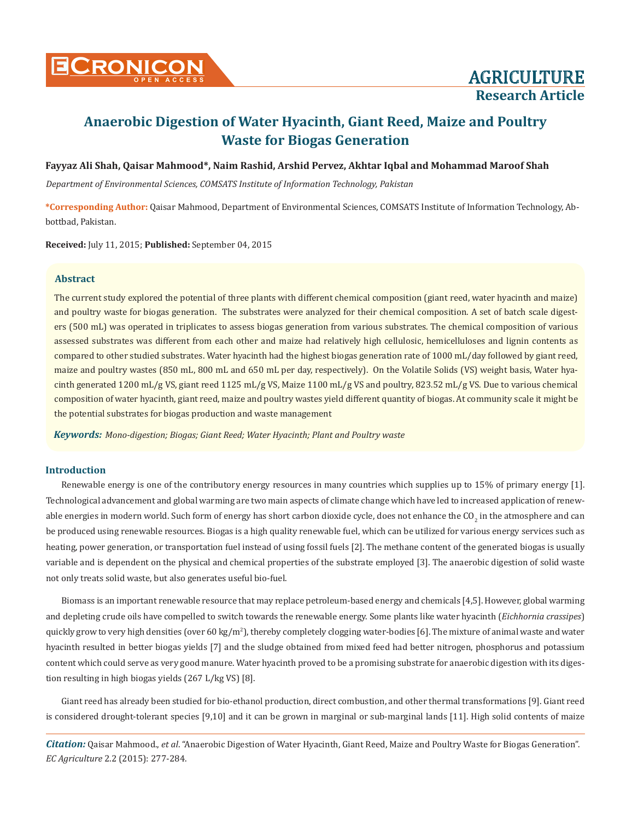

# **Anaerobic Digestion of Water Hyacinth, Giant Reed, Maize and Poultry Waste for Biogas Generation**

**Fayyaz Ali Shah, Qaisar Mahmood\*, Naim Rashid, Arshid Pervez, Akhtar Iqbal and Mohammad Maroof Shah**

*Department of Environmental Sciences, COMSATS Institute of Information Technology, Pakistan*

**\*Corresponding Author:** Qaisar Mahmood, Department of Environmental Sciences, COMSATS Institute of Information Technology, Abbottbad, Pakistan.

**Received:** July 11, 2015; **Published:** September 04, 2015

#### **Abstract**

The current study explored the potential of three plants with different chemical composition (giant reed, water hyacinth and maize) and poultry waste for biogas generation. The substrates were analyzed for their chemical composition. A set of batch scale digesters (500 mL) was operated in triplicates to assess biogas generation from various substrates. The chemical composition of various assessed substrates was different from each other and maize had relatively high cellulosic, hemicelluloses and lignin contents as compared to other studied substrates. Water hyacinth had the highest biogas generation rate of 1000 mL/day followed by giant reed, maize and poultry wastes (850 mL, 800 mL and 650 mL per day, respectively). On the Volatile Solids (VS) weight basis, Water hyacinth generated 1200 mL/g VS, giant reed 1125 mL/g VS, Maize 1100 mL/g VS and poultry, 823.52 mL/g VS. Due to various chemical composition of water hyacinth, giant reed, maize and poultry wastes yield different quantity of biogas. At community scale it might be the potential substrates for biogas production and waste management

*Keywords: Mono-digestion; Biogas; Giant Reed; Water Hyacinth; Plant and Poultry waste*

## **Introduction**

Renewable energy is one of the contributory energy resources in many countries which supplies up to 15% of primary energy [1]. Technological advancement and global warming are two main aspects of climate change which have led to increased application of renewable energies in modern world. Such form of energy has short carbon dioxide cycle, does not enhance the CO<sub>2</sub> in the atmosphere and can be produced using renewable resources. Biogas is a high quality renewable fuel, which can be utilized for various energy services such as heating, power generation, or transportation fuel instead of using fossil fuels [2]. The methane content of the generated biogas is usually variable and is dependent on the physical and chemical properties of the substrate employed [3]. The anaerobic digestion of solid waste not only treats solid waste, but also generates useful bio-fuel.

Biomass is an important renewable resource that may replace petroleum-based energy and chemicals [4,5]. However, global warming and depleting crude oils have compelled to switch towards the renewable energy. Some plants like water hyacinth (*Eichhornia crassipes*) quickly grow to very high densities (over 60 kg/m<sup>2</sup> ), thereby completely clogging water-bodies [6]. The mixture of animal waste and water hyacinth resulted in better biogas yields [7] and the sludge obtained from mixed feed had better nitrogen, phosphorus and potassium content which could serve as very good manure. Water hyacinth proved to be a promising substrate for anaerobic digestion with its digestion resulting in high biogas yields (267 L/kg VS) [8].

Giant reed has already been studied for bio-ethanol production, direct combustion, and other thermal transformations [9]. Giant reed is considered drought-tolerant species [9,10] and it can be grown in marginal or sub-marginal lands [11]. High solid contents of maize

*Citation:* Qaisar Mahmood., *et al*. "Anaerobic Digestion of Water Hyacinth, Giant Reed, Maize and Poultry Waste for Biogas Generation". *EC Agriculture* 2.2 (2015): 277-284.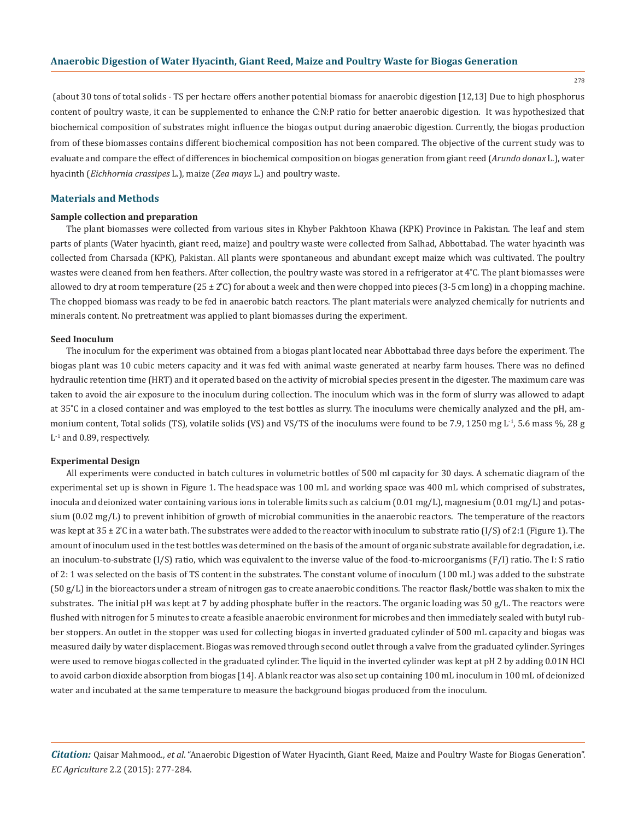278

 (about 30 tons of total solids - TS per hectare offers another potential biomass for anaerobic digestion [12,13] Due to high phosphorus content of poultry waste, it can be supplemented to enhance the C:N:P ratio for better anaerobic digestion. It was hypothesized that biochemical composition of substrates might influence the biogas output during anaerobic digestion. Currently, the biogas production from of these biomasses contains different biochemical composition has not been compared. The objective of the current study was to evaluate and compare the effect of differences in biochemical composition on biogas generation from giant reed (*Arundo donax* L.), water hyacinth (*Eichhornia crassipes* L.), maize (*Zea mays* L.) and poultry waste.

### **Materials and Methods**

#### **Sample collection and preparation**

The plant biomasses were collected from various sites in Khyber Pakhtoon Khawa (KPK) Province in Pakistan. The leaf and stem parts of plants (Water hyacinth, giant reed, maize) and poultry waste were collected from Salhad, Abbottabad. The water hyacinth was collected from Charsada (KPK), Pakistan. All plants were spontaneous and abundant except maize which was cultivated. The poultry wastes were cleaned from hen feathers. After collection, the poultry waste was stored in a refrigerator at  $4^{\circ}$ C. The plant biomasses were allowed to dry at room temperature  $(25 \pm 2^{\circ}\text{C})$  for about a week and then were chopped into pieces  $(3\text{-}5 \text{ cm} \log \text{)}$  in a chopping machine. The chopped biomass was ready to be fed in anaerobic batch reactors. The plant materials were analyzed chemically for nutrients and minerals content. No pretreatment was applied to plant biomasses during the experiment.

### **Seed Inoculum**

The inoculum for the experiment was obtained from a biogas plant located near Abbottabad three days before the experiment. The biogas plant was 10 cubic meters capacity and it was fed with animal waste generated at nearby farm houses. There was no defined hydraulic retention time (HRT) and it operated based on the activity of microbial species present in the digester. The maximum care was taken to avoid the air exposure to the inoculum during collection. The inoculum which was in the form of slurry was allowed to adapt at 35 ̊C in a closed container and was employed to the test bottles as slurry. The inoculums were chemically analyzed and the pH, ammonium content, Total solids (TS), volatile solids (VS) and VS/TS of the inoculums were found to be 7.9, 1250 mg L<sup>-1</sup>, 5.6 mass %, 28 g  $L<sup>-1</sup>$  and 0.89, respectively.

#### **Experimental Design**

All experiments were conducted in batch cultures in volumetric bottles of 500 ml capacity for 30 days. A schematic diagram of the experimental set up is shown in Figure 1. The headspace was 100 mL and working space was 400 mL which comprised of substrates, inocula and deionized water containing various ions in tolerable limits such as calcium (0.01 mg/L), magnesium (0.01 mg/L) and potassium (0.02 mg/L) to prevent inhibition of growth of microbial communities in the anaerobic reactors. The temperature of the reactors was kept at  $35 \pm 2^{\circ}$ C in a water bath. The substrates were added to the reactor with inoculum to substrate ratio (I/S) of 2:1 (Figure 1). The amount of inoculum used in the test bottles was determined on the basis of the amount of organic substrate available for degradation, i.e. an inoculum-to-substrate (I/S) ratio, which was equivalent to the inverse value of the food-to-microorganisms (F/I) ratio. The I: S ratio of 2: 1 was selected on the basis of TS content in the substrates. The constant volume of inoculum (100 mL) was added to the substrate (50 g/L) in the bioreactors under a stream of nitrogen gas to create anaerobic conditions. The reactor flask/bottle was shaken to mix the substrates. The initial pH was kept at 7 by adding phosphate buffer in the reactors. The organic loading was  $50 g/L$ . The reactors were flushed with nitrogen for 5 minutes to create a feasible anaerobic environment for microbes and then immediately sealed with butyl rubber stoppers. An outlet in the stopper was used for collecting biogas in inverted graduated cylinder of 500 mL capacity and biogas was measured daily by water displacement. Biogas was removed through second outlet through a valve from the graduated cylinder. Syringes were used to remove biogas collected in the graduated cylinder. The liquid in the inverted cylinder was kept at pH 2 by adding 0.01N HCl to avoid carbon dioxide absorption from biogas [14]. A blank reactor was also set up containing 100 mL inoculum in 100 mL of deionized water and incubated at the same temperature to measure the background biogas produced from the inoculum.

*Citation:* Qaisar Mahmood., *et al*. "Anaerobic Digestion of Water Hyacinth, Giant Reed, Maize and Poultry Waste for Biogas Generation". *EC Agriculture* 2.2 (2015): 277-284.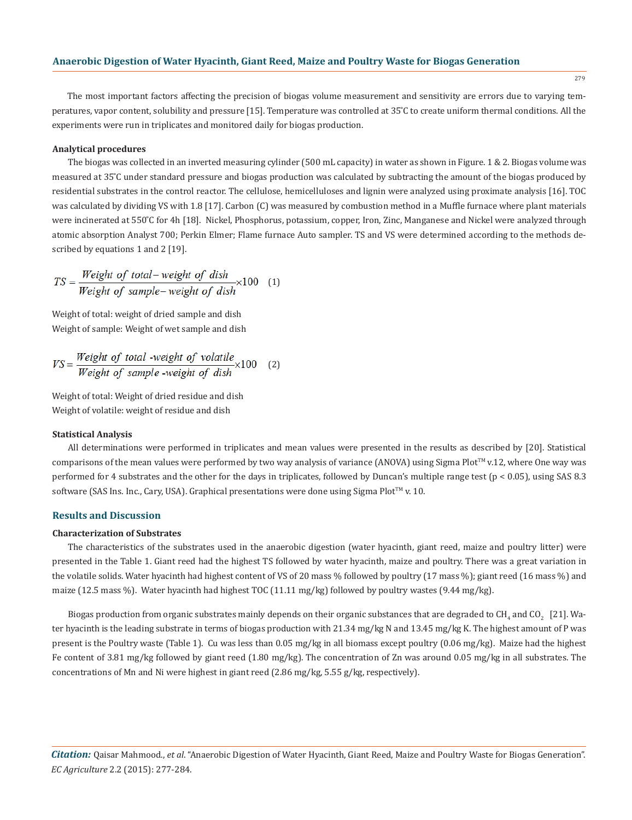279

The most important factors affecting the precision of biogas volume measurement and sensitivity are errors due to varying temperatures, vapor content, solubility and pressure [15]. Temperature was controlled at 35°C to create uniform thermal conditions. All the experiments were run in triplicates and monitored daily for biogas production.

## **Analytical procedures**

The biogas was collected in an inverted measuring cylinder (500 mL capacity) in water as shown in Figure. 1 & 2. Biogas volume was measured at 35 ̊C under standard pressure and biogas production was calculated by subtracting the amount of the biogas produced by residential substrates in the control reactor. The cellulose, hemicelluloses and lignin were analyzed using proximate analysis [16]. TOC was calculated by dividing VS with 1.8 [17]. Carbon (C) was measured by combustion method in a Muffle furnace where plant materials were incinerated at 550°C for 4h [18]. Nickel, Phosphorus, potassium, copper, Iron, Zinc, Manganese and Nickel were analyzed through atomic absorption Analyst 700; Perkin Elmer; Flame furnace Auto sampler. TS and VS were determined according to the methods described by equations 1 and 2 [19].

$$
TS = \frac{Weight\ of\ total - weight\ of\ dish}{Weight\ of\ sample - weight\ of\ dish} \times 100
$$
 (1)

Weight of total: weight of dried sample and dish Weight of sample: Weight of wet sample and dish

$$
VS = \frac{Weight\ of\ total\ -weight\ of\ volatile}{Weight\ of\ sample\ -weight\ of\ dish} \times 100
$$
 (2)

Weight of total: Weight of dried residue and dish Weight of volatile: weight of residue and dish

#### **Statistical Analysis**

All determinations were performed in triplicates and mean values were presented in the results as described by [20]. Statistical comparisons of the mean values were performed by two way analysis of variance (ANOVA) using Sigma Plot $TM$  v.12, where One way was performed for 4 substrates and the other for the days in triplicates, followed by Duncan's multiple range test (p < 0.05), using SAS 8.3 software (SAS Ins. Inc., Cary, USA). Graphical presentations were done using Sigma Plot™ v. 10.

# **Results and Discussion**

## **Characterization of Substrates**

The characteristics of the substrates used in the anaerobic digestion (water hyacinth, giant reed, maize and poultry litter) were presented in the Table 1. Giant reed had the highest TS followed by water hyacinth, maize and poultry. There was a great variation in the volatile solids. Water hyacinth had highest content of VS of 20 mass % followed by poultry (17 mass %); giant reed (16 mass %) and maize (12.5 mass %). Water hyacinth had highest TOC (11.11 mg/kg) followed by poultry wastes (9.44 mg/kg).

Biogas production from organic substrates mainly depends on their organic substances that are degraded to CH<sub>4</sub> and CO<sub>2</sub>  $\,$  [21]. Water hyacinth is the leading substrate in terms of biogas production with 21.34 mg/kg N and 13.45 mg/kg K. The highest amount of P was present is the Poultry waste (Table 1). Cu was less than 0.05 mg/kg in all biomass except poultry (0.06 mg/kg). Maize had the highest Fe content of 3.81 mg/kg followed by giant reed (1.80 mg/kg). The concentration of Zn was around 0.05 mg/kg in all substrates. The concentrations of Mn and Ni were highest in giant reed (2.86 mg/kg, 5.55 g/kg, respectively).

*Citation:* Qaisar Mahmood., *et al*. "Anaerobic Digestion of Water Hyacinth, Giant Reed, Maize and Poultry Waste for Biogas Generation". *EC Agriculture* 2.2 (2015): 277-284.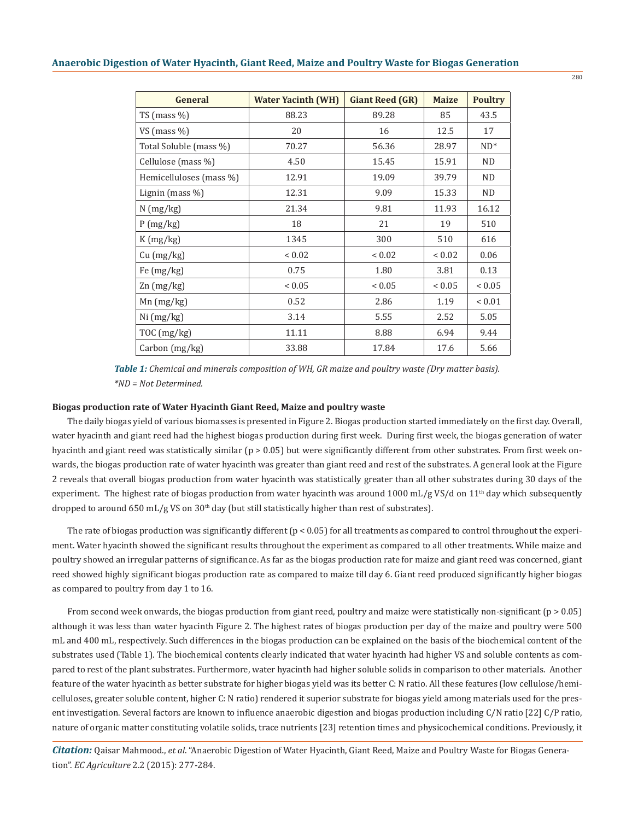| <b>General</b>          | <b>Water Yacinth (WH)</b> | <b>Giant Reed (GR)</b> | <b>Maize</b>  | <b>Poultry</b> |
|-------------------------|---------------------------|------------------------|---------------|----------------|
| TS (mass $\%$ )         | 88.23                     | 89.28                  | 85            | 43.5           |
| VS (mass $\%$ )         | 20                        | 16                     | 12.5          | 17             |
| Total Soluble (mass %)  | 70.27                     | 56.36                  | 28.97         | $ND^*$         |
| Cellulose (mass %)      | 4.50                      | 15.45                  | 15.91         | <b>ND</b>      |
| Hemicelluloses (mass %) | 12.91                     | 19.09                  | 39.79         | ND.            |
| Lignin (mass $\%$ )     | 12.31                     | 9.09                   | 15.33         | ND.            |
| $N$ (mg/kg)             | 21.34                     | 9.81                   | 11.93         | 16.12          |
| P(mg/kg)                | 18                        | 21                     | 19            | 510            |
| K(mg/kg)                | 1345                      | 300                    | 510           | 616            |
| Cu (mg/kg)              | ${}_{0.02}$               | ${}< 0.02$             | ${}_{0.02}$   | 0.06           |
| Fe $(mg/kg)$            | 0.75                      | 1.80                   | 3.81          | 0.13           |
| $\text{Zn}$ (mg/kg)     | ${}< 0.05$                | ${}_{< 0.05}$          | ${}_{< 0.05}$ | ${}_{< 0.05}$  |
| $Mn$ (mg/kg)            | 0.52                      | 2.86                   | 1.19          | ${}< 0.01$     |
| Ni (mg/kg)              | 3.14                      | 5.55                   | 2.52          | 5.05           |
| TOC (mg/kg)             | 11.11                     | 8.88                   | 6.94          | 9.44           |
| Carbon (mg/kg)          | 33.88                     | 17.84                  | 17.6          | 5.66           |

*Table 1: Chemical and minerals composition of WH, GR maize and poultry waste (Dry matter basis). \*ND = Not Determined.*

#### **Biogas production rate of Water Hyacinth Giant Reed, Maize and poultry waste**

The daily biogas yield of various biomasses is presented in Figure 2. Biogas production started immediately on the first day. Overall, water hyacinth and giant reed had the highest biogas production during first week. During first week, the biogas generation of water hyacinth and giant reed was statistically similar (p > 0.05) but were significantly different from other substrates. From first week onwards, the biogas production rate of water hyacinth was greater than giant reed and rest of the substrates. A general look at the Figure 2 reveals that overall biogas production from water hyacinth was statistically greater than all other substrates during 30 days of the experiment. The highest rate of biogas production from water hyacinth was around 1000 mL/g VS/d on  $11<sup>th</sup>$  day which subsequently dropped to around 650 mL/g VS on  $30<sup>th</sup>$  day (but still statistically higher than rest of substrates).

The rate of biogas production was significantly different  $(p < 0.05)$  for all treatments as compared to control throughout the experiment. Water hyacinth showed the significant results throughout the experiment as compared to all other treatments. While maize and poultry showed an irregular patterns of significance. As far as the biogas production rate for maize and giant reed was concerned, giant reed showed highly significant biogas production rate as compared to maize till day 6. Giant reed produced significantly higher biogas as compared to poultry from day 1 to 16.

From second week onwards, the biogas production from giant reed, poultry and maize were statistically non-significant ( $p > 0.05$ ) although it was less than water hyacinth Figure 2. The highest rates of biogas production per day of the maize and poultry were 500 mL and 400 mL, respectively. Such differences in the biogas production can be explained on the basis of the biochemical content of the substrates used (Table 1). The biochemical contents clearly indicated that water hyacinth had higher VS and soluble contents as compared to rest of the plant substrates. Furthermore, water hyacinth had higher soluble solids in comparison to other materials. Another feature of the water hyacinth as better substrate for higher biogas yield was its better C: N ratio. All these features (low cellulose/hemicelluloses, greater soluble content, higher C: N ratio) rendered it superior substrate for biogas yield among materials used for the present investigation. Several factors are known to influence anaerobic digestion and biogas production including C/N ratio [22] C/P ratio, nature of organic matter constituting volatile solids, trace nutrients [23] retention times and physicochemical conditions. Previously, it

*Citation:* Qaisar Mahmood., *et al*. "Anaerobic Digestion of Water Hyacinth, Giant Reed, Maize and Poultry Waste for Biogas Generation". *EC Agriculture* 2.2 (2015): 277-284.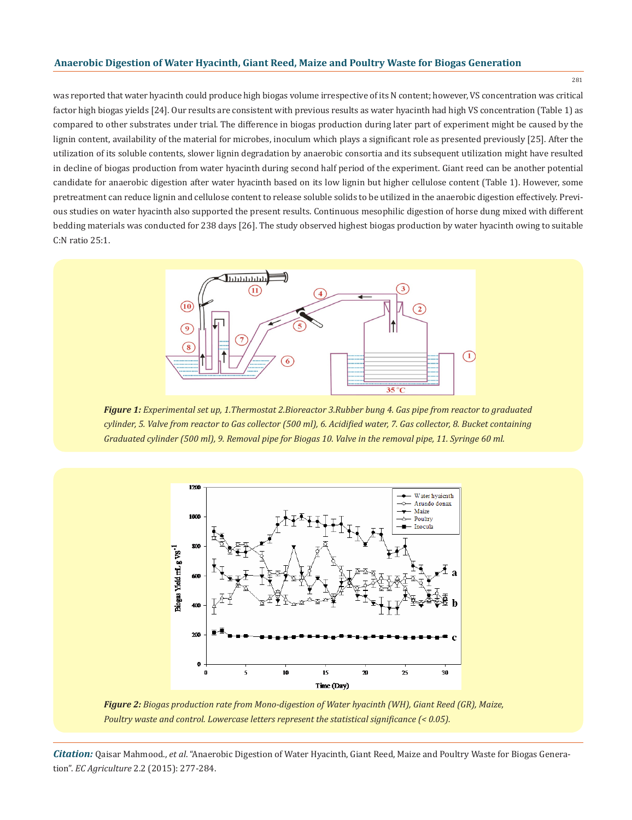# **Anaerobic Digestion of Water Hyacinth, Giant Reed, Maize and Poultry Waste for Biogas Generation**

281

was reported that water hyacinth could produce high biogas volume irrespective of its N content; however, VS concentration was critical factor high biogas yields [24]. Our results are consistent with previous results as water hyacinth had high VS concentration (Table 1) as compared to other substrates under trial. The difference in biogas production during later part of experiment might be caused by the lignin content, availability of the material for microbes, inoculum which plays a significant role as presented previously [25]. After the utilization of its soluble contents, slower lignin degradation by anaerobic consortia and its subsequent utilization might have resulted in decline of biogas production from water hyacinth during second half period of the experiment. Giant reed can be another potential candidate for anaerobic digestion after water hyacinth based on its low lignin but higher cellulose content (Table 1). However, some pretreatment can reduce lignin and cellulose content to release soluble solids to be utilized in the anaerobic digestion effectively. Previous studies on water hyacinth also supported the present results. Continuous mesophilic digestion of horse dung mixed with different bedding materials was conducted for 238 days [26]. The study observed highest biogas production by water hyacinth owing to suitable C:N ratio 25:1.



*Figure 1: Experimental set up, 1.Thermostat 2.Bioreactor 3.Rubber bung 4. Gas pipe from reactor to graduated cylinder, 5. Valve from reactor to Gas collector (500 ml), 6. Acidified water, 7. Gas collector, 8. Bucket containing Graduated cylinder (500 ml), 9. Removal pipe for Biogas 10. Valve in the removal pipe, 11. Syringe 60 ml.*



*Figure 2: Biogas production rate from Mono-digestion of Water hyacinth (WH), Giant Reed (GR), Maize, Poultry waste and control. Lowercase letters represent the statistical significance (< 0.05).*

*Citation:* Qaisar Mahmood., *et al*. "Anaerobic Digestion of Water Hyacinth, Giant Reed, Maize and Poultry Waste for Biogas Generation". *EC Agriculture* 2.2 (2015): 277-284.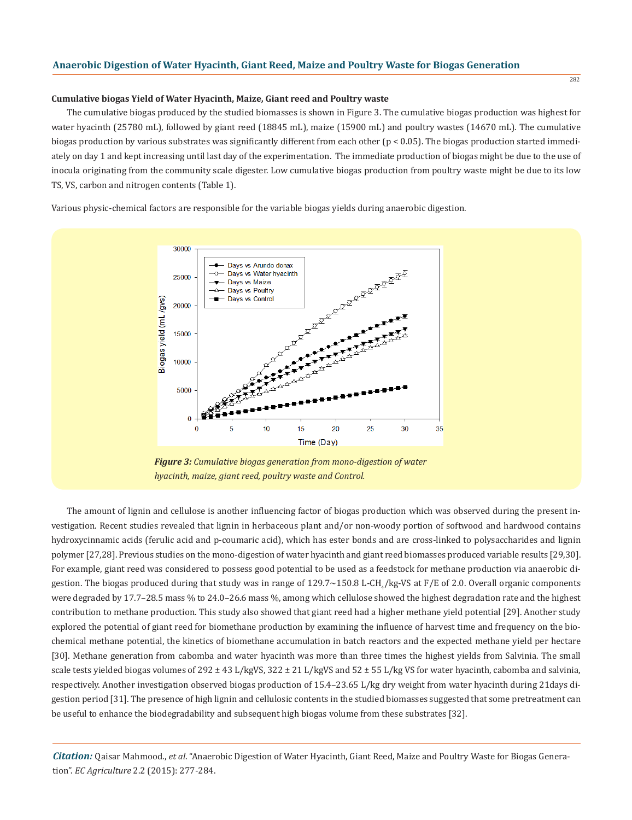## **Cumulative biogas Yield of Water Hyacinth, Maize, Giant reed and Poultry waste**

The cumulative biogas produced by the studied biomasses is shown in Figure 3. The cumulative biogas production was highest for water hyacinth (25780 mL), followed by giant reed (18845 mL), maize (15900 mL) and poultry wastes (14670 mL). The cumulative biogas production by various substrates was significantly different from each other ( $p < 0.05$ ). The biogas production started immediately on day 1 and kept increasing until last day of the experimentation. The immediate production of biogas might be due to the use of inocula originating from the community scale digester. Low cumulative biogas production from poultry waste might be due to its low TS, VS, carbon and nitrogen contents (Table 1).

Various physic-chemical factors are responsible for the variable biogas yields during anaerobic digestion.



*Figure 3: Cumulative biogas generation from mono-digestion of water hyacinth, maize, giant reed, poultry waste and Control.*

The amount of lignin and cellulose is another influencing factor of biogas production which was observed during the present investigation. Recent studies revealed that lignin in herbaceous plant and/or non-woody portion of softwood and hardwood contains hydroxycinnamic acids (ferulic acid and p-coumaric acid), which has ester bonds and are cross-linked to polysaccharides and lignin polymer [27,28]. Previous studies on the mono-digestion of water hyacinth and giant reed biomasses produced variable results [29,30]. For example, giant reed was considered to possess good potential to be used as a feedstock for methane production via anaerobic digestion. The biogas produced during that study was in range of  $129.7{\sim}150.8$  L-CH<sub>4</sub>/kg-VS at F/E of 2.0. Overall organic components were degraded by 17.7–28.5 mass % to 24.0–26.6 mass %, among which cellulose showed the highest degradation rate and the highest contribution to methane production. This study also showed that giant reed had a higher methane yield potential [29]. Another study explored the potential of giant reed for biomethane production by examining the influence of harvest time and frequency on the biochemical methane potential, the kinetics of biomethane accumulation in batch reactors and the expected methane yield per hectare [30]. Methane generation from cabomba and water hyacinth was more than three times the highest yields from Salvinia. The small scale tests yielded biogas volumes of 292 ± 43 L/kgVS, 322 ± 21 L/kgVS and 52 ± 55 L/kg VS for water hyacinth, cabomba and salvinia, respectively. Another investigation observed biogas production of 15.4–23.65 L/kg dry weight from water hyacinth during 21days digestion period [31]. The presence of high lignin and cellulosic contents in the studied biomasses suggested that some pretreatment can be useful to enhance the biodegradability and subsequent high biogas volume from these substrates [32].

*Citation:* Qaisar Mahmood., *et al*. "Anaerobic Digestion of Water Hyacinth, Giant Reed, Maize and Poultry Waste for Biogas Generation". *EC Agriculture* 2.2 (2015): 277-284.

282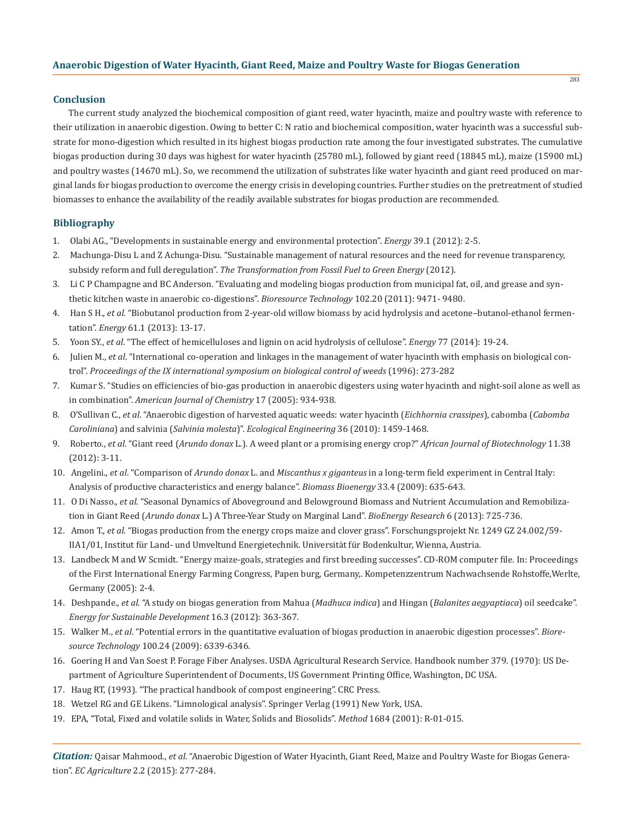## **Conclusion**

The current study analyzed the biochemical composition of giant reed, water hyacinth, maize and poultry waste with reference to their utilization in anaerobic digestion. Owing to better C: N ratio and biochemical composition, water hyacinth was a successful substrate for mono-digestion which resulted in its highest biogas production rate among the four investigated substrates. The cumulative biogas production during 30 days was highest for water hyacinth (25780 mL), followed by giant reed (18845 mL), maize (15900 mL) and poultry wastes (14670 mL). So, we recommend the utilization of substrates like water hyacinth and giant reed produced on marginal lands for biogas production to overcome the energy crisis in developing countries. Further studies on the pretreatment of studied biomasses to enhance the availability of the readily available substrates for biogas production are recommended.

## **Bibliography**

- 1. Olabi AG., "Developments in sustainable energy and environmental protection". *Energy* 39.1 (2012): 2-5.
- 2. Machunga-Disu L and Z Achunga-Disu. "Sustainable management of natural resources and the need for revenue transparency, subsidy reform and full deregulation". *The Transformation from Fossil Fuel to Green Energy* (2012).
- 3. Li C P Champagne and BC Anderson. "Evaluating and modeling biogas production from municipal fat, oil, and grease and syn thetic kitchen waste in anaerobic co-digestions". *Bioresource Technology* 102.20 (2011): 9471- 9480.
- 4. Han S H., *et al*. "Biobutanol production from 2-year-old willow biomass by acid hydrolysis and acetone–butanol-ethanol fermen tation". *Energy* 61.1 (2013): 13-17.
- 5. Yoon SY., *et al*. "The effect of hemicelluloses and lignin on acid hydrolysis of cellulose". *Energy* 77 (2014): 19-24.
- 6. Julien M., *et al*. "International co-operation and linkages in the management of water hyacinth with emphasis on biological con trol". *Proceedings of the IX international symposium on biological control of weeds* (1996): 273-282
- 7. Kumar S. "Studies on efficiencies of bio-gas production in anaerobic digesters using water hyacinth and night-soil alone as well as in combination". *American Journal of Chemistry* 17 (2005): 934-938.
- 8. O'Sullivan C., *et al*. "Anaerobic digestion of harvested aquatic weeds: water hyacinth (*Eichhornia crassipes*), cabomba (*Cabomba Caroliniana*) and salvinia (*Salvinia molesta*)". *Ecological Engineering* 36 (2010): 1459-1468.
- 9. Roberto., *et al*. "Giant reed (*Arundo donax* L.). A weed plant or a promising energy crop?" *African Journal of Biotechnology* 11.38 (2012): 3-11.
- 10. Angelini., *et al*. "Comparison of *Arundo donax* L. and *Miscanthus x giganteus* in a long-term field experiment in Central Italy: Analysis of productive characteristics and energy balance". *Biomass Bioenergy* 33.4 (2009): 635-643.
- 11. O Di Nasso., *et al*. "Seasonal Dynamics of Aboveground and Belowground Biomass and Nutrient Accumulation and Remobiliza tion in Giant Reed (*Arundo donax* L.) A Three-Year Study on Marginal Land". *BioEnergy Research* 6 (2013): 725-736.
- 12. Amon T., *et al*. "Biogas production from the energy crops maize and clover grass". Forschungsprojekt Nr. 1249 GZ 24.002/59- IIA1/01, Institut für Land- und Umveltund Energietechnik. Universität für Bodenkultur, Wienna, Austria.
- 13. Landbeck M and W Scmidt. "Energy maize-goals, strategies and first breeding successes". CD-ROM computer file. In: Proceedings of the First International Energy Farming Congress, Papen burg, Germany,. Kompetenzzentrum Nachwachsende Rohstoffe,Werlte, Germany (2005): 2-4.
- 14. Deshpande., *et al*. "A study on biogas generation from Mahua (*Madhuca indica*) and Hingan (*Balanites aegyaptiaca*) oil seedcake". *Energy for Sustainable Development* 16.3 (2012): 363-367.
- 15. Walker M., *et al*. "Potential errors in the quantitative evaluation of biogas production in anaerobic digestion processes". *Biore source Technology* 100.24 (2009): 6339-6346.
- 16. Goering H and Van Soest P. Forage Fiber Analyses. USDA Agricultural Research Service. Handbook number 379. (1970): US De partment of Agriculture Superintendent of Documents, US Government Printing Office, Washington, DC USA.
- 17. Haug RT, (1993). "The practical handbook of compost engineering". CRC Press.
- 18. Wetzel RG and GE Likens. "Limnological analysis". Springer Verlag (1991) New York, USA.
- 19. EPA, "Total, Fixed and volatile solids in Water, Solids and Biosolids". *Method* 1684 (2001): R-01-015.

*Citation:* Qaisar Mahmood., *et al*. "Anaerobic Digestion of Water Hyacinth, Giant Reed, Maize and Poultry Waste for Biogas Generation". *EC Agriculture* 2.2 (2015): 277-284.